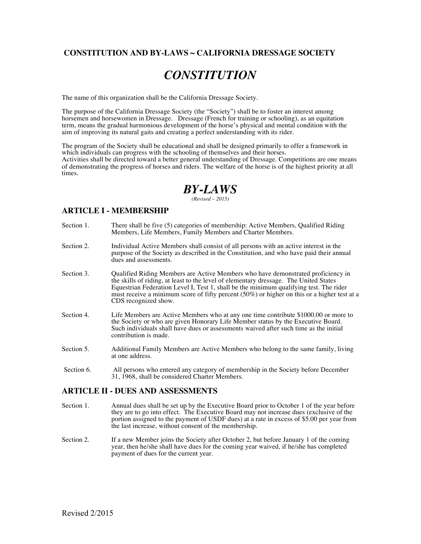## **CONSTITUTION AND BY-LAWS ~ CALIFORNIA DRESSAGE SOCIETY**

# *CONSTITUTION*

The name of this organization shall be the California Dressage Society.

The purpose of the California Dressage Society (the "Society") shall be to foster an interest among horsemen and horsewomen in Dressage. Dressage (French for training or schooling), as an equitation term, means the gradual harmonious development of the horse's physical and mental condition with the aim of improving its natural gaits and creating a perfect understanding with its rider.

The program of the Society shall be educational and shall be designed primarily to offer a framework in which individuals can progress with the schooling of themselves and their horses. Activities shall be directed toward a better general understanding of Dressage. Competitions are one means of demonstrating the progress of horses and riders. The welfare of the horse is of the highest priority at all times.

# *BY-LAWS*

*(Revised – 2015)*

#### **ARTICLE I - MEMBERSHIP**

- Section 1. There shall be five (5) categories of membership: Active Members, Qualified Riding Members, Life Members, Family Members and Charter Members.
- Section 2. Individual Active Members shall consist of all persons with an active interest in the purpose of the Society as described in the Constitution, and who have paid their annual dues and assessments.
- Section 3. Qualified Riding Members are Active Members who have demonstrated proficiency in the skills of riding, at least to the level of elementary dressage. The United States Equestrian Federation Level I, Test 1, shall be the minimum qualifying test. The rider must receive a minimum score of fifty percent (50%) or higher on this or a higher test at a CDS recognized show.
- Section 4. Life Members are Active Members who at any one time contribute \$1000.00 or more to the Society or who are given Honorary Life Member status by the Executive Board. Such individuals shall have dues or assessments waived after such time as the initial contribution is made.
- Section 5. Additional Family Members are Active Members who belong to the same family, living at one address.
- Section 6. All persons who entered any category of membership in the Society before December 31, 1968, shall be considered Charter Members.

#### **ARTICLE II - DUES AND ASSESSMENTS**

- Section 1. Annual dues shall be set up by the Executive Board prior to October 1 of the year before they are to go into effect. The Executive Board may not increase dues (exclusive of the portion assigned to the payment of USDF dues) at a rate in excess of \$5.00 per year from the last increase, without consent of the membership.
- Section 2. If a new Member joins the Society after October 2, but before January 1 of the coming year, then he/she shall have dues for the coming year waived, if he/she has completed payment of dues for the current year.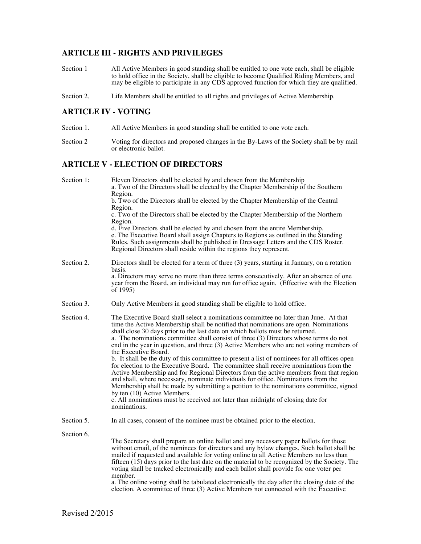# **ARTICLE III - RIGHTS AND PRIVILEGES**

- Section 1 All Active Members in good standing shall be entitled to one vote each, shall be eligible to hold office in the Society, shall be eligible to become Qualified Riding Members, and may be eligible to participate in any CDS approved function for which they are qualified.
- Section 2. Life Members shall be entitled to all rights and privileges of Active Membership.

#### **ARTICLE IV - VOTING**

- Section 1. All Active Members in good standing shall be entitled to one vote each.
- Section 2 Voting for directors and proposed changes in the By-Laws of the Society shall be by mail or electronic ballot.

#### **ARTICLE V - ELECTION OF DIRECTORS**

| Section 1: | Eleven Directors shall be elected by and chosen from the Membership<br>a. Two of the Directors shall be elected by the Chapter Membership of the Southern<br>Region.<br>b. Two of the Directors shall be elected by the Chapter Membership of the Central<br>Region.<br>c. Two of the Directors shall be elected by the Chapter Membership of the Northern<br>Region.<br>d. Five Directors shall be elected by and chosen from the entire Membership.<br>e. The Executive Board shall assign Chapters to Regions as outlined in the Standing<br>Rules. Such assignments shall be published in Dressage Letters and the CDS Roster.<br>Regional Directors shall reside within the regions they represent.                                                                                                                                                                                                                                                                                                                                                                   |
|------------|----------------------------------------------------------------------------------------------------------------------------------------------------------------------------------------------------------------------------------------------------------------------------------------------------------------------------------------------------------------------------------------------------------------------------------------------------------------------------------------------------------------------------------------------------------------------------------------------------------------------------------------------------------------------------------------------------------------------------------------------------------------------------------------------------------------------------------------------------------------------------------------------------------------------------------------------------------------------------------------------------------------------------------------------------------------------------|
| Section 2. | Directors shall be elected for a term of three $(3)$ years, starting in January, on a rotation<br>basis.<br>a. Directors may serve no more than three terms consecutively. After an absence of one<br>year from the Board, an individual may run for office again. (Effective with the Election<br>of 1995)                                                                                                                                                                                                                                                                                                                                                                                                                                                                                                                                                                                                                                                                                                                                                                |
| Section 3. | Only Active Members in good standing shall be eligible to hold office.                                                                                                                                                                                                                                                                                                                                                                                                                                                                                                                                                                                                                                                                                                                                                                                                                                                                                                                                                                                                     |
| Section 4. | The Executive Board shall select a nominations committee no later than June. At that<br>time the Active Membership shall be notified that nominations are open. Nominations<br>shall close 30 days prior to the last date on which ballots must be returned.<br>a. The nominations committee shall consist of three (3) Directors whose terms do not<br>end in the year in question, and three (3) Active Members who are not voting members of<br>the Executive Board.<br>b. It shall be the duty of this committee to present a list of nominees for all offices open<br>for election to the Executive Board. The committee shall receive nominations from the<br>Active Membership and for Regional Directors from the active members from that region<br>and shall, where necessary, nominate individuals for office. Nominations from the<br>Membership shall be made by submitting a petition to the nominations committee, signed<br>by ten (10) Active Members.<br>c. All nominations must be received not later than midnight of closing date for<br>nominations. |
| Section 5. | In all cases, consent of the nominee must be obtained prior to the election.                                                                                                                                                                                                                                                                                                                                                                                                                                                                                                                                                                                                                                                                                                                                                                                                                                                                                                                                                                                               |
| Section 6. | The Secretary shall prepare an online ballot and any necessary paper ballots for those<br>without email, of the nominees for directors and any bylaw changes. Such ballot shall be<br>mailed if requested and available for voting online to all Active Members no less than<br>fifteen (15) days prior to the last date on the material to be recognized by the Society. The<br>voting shall be tracked electronically and each ballot shall provide for one voter per<br>member.<br>a. The online voting shall be tabulated electronically the day after the closing date of the<br>election. A committee of three (3) Active Members not connected with the Executive                                                                                                                                                                                                                                                                                                                                                                                                   |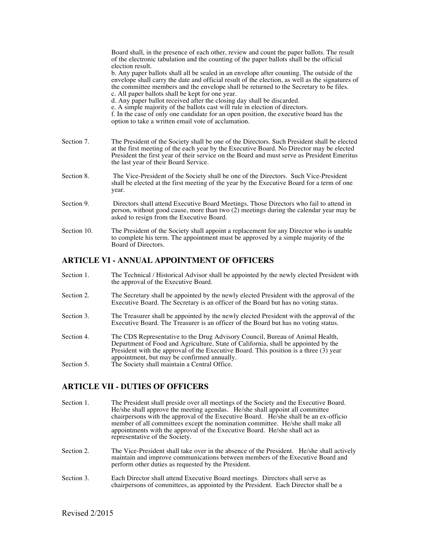|             | Board shall, in the presence of each other, review and count the paper ballots. The result<br>of the electronic tabulation and the counting of the paper ballots shall be the official<br>election result.<br>b. Any paper ballots shall all be sealed in an envelope after counting. The outside of the<br>envelope shall carry the date and official result of the election, as well as the signatures of<br>the committee members and the envelope shall be returned to the Secretary to be files.<br>c. All paper ballots shall be kept for one year.<br>d. Any paper ballot received after the closing day shall be discarded.<br>e. A simple majority of the ballots cast will rule in election of directors.<br>f. In the case of only one candidate for an open position, the executive board has the<br>option to take a written email vote of acclamation. |
|-------------|----------------------------------------------------------------------------------------------------------------------------------------------------------------------------------------------------------------------------------------------------------------------------------------------------------------------------------------------------------------------------------------------------------------------------------------------------------------------------------------------------------------------------------------------------------------------------------------------------------------------------------------------------------------------------------------------------------------------------------------------------------------------------------------------------------------------------------------------------------------------|
| Section 7.  | The President of the Society shall be one of the Directors. Such President shall be elected<br>at the first meeting of the each year by the Executive Board. No Director may be elected<br>President the first year of their service on the Board and must serve as President Emeritus<br>the last year of their Board Service.                                                                                                                                                                                                                                                                                                                                                                                                                                                                                                                                      |
| Section 8.  | The Vice-President of the Society shall be one of the Directors. Such Vice-President<br>shall be elected at the first meeting of the year by the Executive Board for a term of one<br>year.                                                                                                                                                                                                                                                                                                                                                                                                                                                                                                                                                                                                                                                                          |
| Section 9.  | Directors shall attend Executive Board Meetings. Those Directors who fail to attend in<br>person, without good cause, more than two (2) meetings during the calendar year may be<br>asked to resign from the Executive Board.                                                                                                                                                                                                                                                                                                                                                                                                                                                                                                                                                                                                                                        |
| Section 10. | The President of the Society shall appoint a replacement for any Director who is unable<br>to complete his term. The appointment must be approved by a simple majority of the<br>Board of Directors.                                                                                                                                                                                                                                                                                                                                                                                                                                                                                                                                                                                                                                                                 |

## **ARTICLE VI - ANNUAL APPOINTMENT OF OFFICERS**

- Section 1. The Technical / Historical Advisor shall be appointed by the newly elected President with the approval of the Executive Board.
- Section 2. The Secretary shall be appointed by the newly elected President with the approval of the Executive Board. The Secretary is an officer of the Board but has no voting status.
- Section 3. The Treasurer shall be appointed by the newly elected President with the approval of the Executive Board. The Treasurer is an officer of the Board but has no voting status.
- Section 4. The CDS Representative to the Drug Advisory Council, Bureau of Animal Health, Department of Food and Agriculture, State of California, shall be appointed by the President with the approval of the Executive Board. This position is a three (3) year appointment, but may be confirmed annually.
- Section 5. The Society shall maintain a Central Office.

## **ARTICLE VII - DUTIES OF OFFICERS**

- Section 1. The President shall preside over all meetings of the Society and the Executive Board. He/she shall approve the meeting agendas. He/she shall appoint all committee chairpersons with the approval of the Executive Board. He/she shall be an ex-officio member of all committees except the nomination committee. He/she shall make all appointments with the approval of the Executive Board. He/she shall act as representative of the Society.
- Section 2. The Vice-President shall take over in the absence of the President. He/she shall actively maintain and improve communications between members of the Executive Board and perform other duties as requested by the President.
- Section 3. Each Director shall attend Executive Board meetings. Directors shall serve as chairpersons of committees, as appointed by the President. Each Director shall be a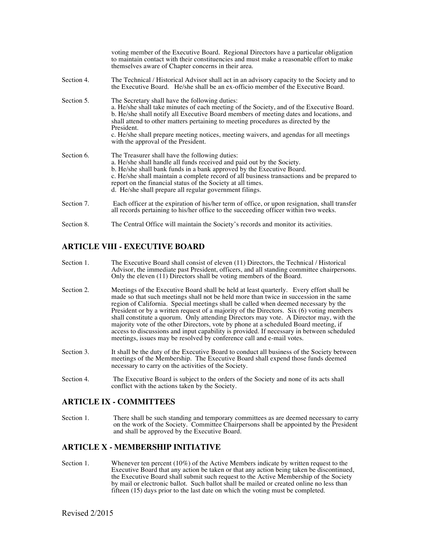|            | voting member of the Executive Board. Regional Directors have a particular obligation<br>to maintain contact with their constituencies and must make a reasonable effort to make<br>themselves aware of Chapter concerns in their area.                                                                                                                                                                                                                                  |
|------------|--------------------------------------------------------------------------------------------------------------------------------------------------------------------------------------------------------------------------------------------------------------------------------------------------------------------------------------------------------------------------------------------------------------------------------------------------------------------------|
| Section 4. | The Technical / Historical Advisor shall act in an advisory capacity to the Society and to<br>the Executive Board. He/she shall be an ex-officio member of the Executive Board.                                                                                                                                                                                                                                                                                          |
| Section 5. | The Secretary shall have the following duties:<br>a. He/she shall take minutes of each meeting of the Society, and of the Executive Board.<br>b. He/she shall notify all Executive Board members of meeting dates and locations, and<br>shall attend to other matters pertaining to meeting procedures as directed by the<br>President.<br>c. He/she shall prepare meeting notices, meeting waivers, and agendas for all meetings<br>with the approval of the President. |
| Section 6. | The Treasurer shall have the following duties:<br>a. He/she shall handle all funds received and paid out by the Society.<br>b. He/she shall bank funds in a bank approved by the Executive Board.<br>c. He/she shall maintain a complete record of all business transactions and be prepared to<br>report on the financial status of the Society at all times.<br>d. He/she shall prepare all regular government filings.                                                |
| Section 7. | Each officer at the expiration of his/her term of office, or upon resignation, shall transfer<br>all records pertaining to his/her office to the succeeding officer within two weeks.                                                                                                                                                                                                                                                                                    |
| Section 8. | The Central Office will maintain the Society's records and monitor its activities.                                                                                                                                                                                                                                                                                                                                                                                       |

# **ARTICLE VIII - EXECUTIVE BOARD**

- Section 1. The Executive Board shall consist of eleven (11) Directors, the Technical / Historical Advisor, the immediate past President, officers, and all standing committee chairpersons. Only the eleven (11) Directors shall be voting members of the Board.
- Section 2. Meetings of the Executive Board shall be held at least quarterly. Every effort shall be made so that such meetings shall not be held more than twice in succession in the same region of California. Special meetings shall be called when deemed necessary by the President or by a written request of a majority of the Directors. Six (6) voting members shall constitute a quorum. Only attending Directors may vote. A Director may, with the majority vote of the other Directors, vote by phone at a scheduled Board meeting, if access to discussions and input capability is provided. If necessary in between scheduled meetings, issues may be resolved by conference call and e-mail votes.
- Section 3. It shall be the duty of the Executive Board to conduct all business of the Society between meetings of the Membership. The Executive Board shall expend those funds deemed necessary to carry on the activities of the Society.
- Section 4. The Executive Board is subject to the orders of the Society and none of its acts shall conflict with the actions taken by the Society.

## **ARTICLE IX - COMMITTEES**

Section 1. There shall be such standing and temporary committees as are deemed necessary to carry on the work of the Society. Committee Chairpersons shall be appointed by the President and shall be approved by the Executive Board.

## **ARTICLE X - MEMBERSHIP INITIATIVE**

Section 1. Whenever ten percent (10%) of the Active Members indicate by written request to the Executive Board that any action be taken or that any action being taken be discontinued, the Executive Board shall submit such request to the Active Membership of the Society by mail or electronic ballot. Such ballot shall be mailed or created online no less than fifteen (15) days prior to the last date on which the voting must be completed.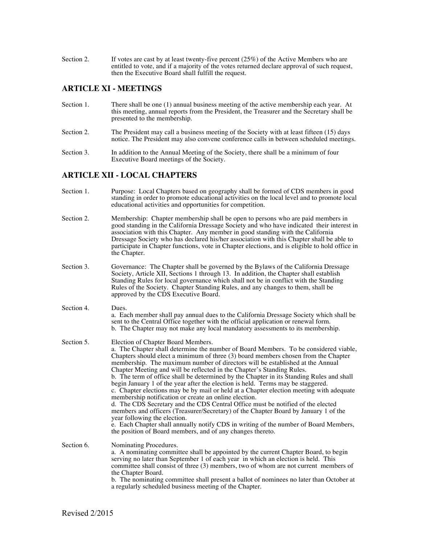Section 2. If votes are cast by at least twenty-five percent (25%) of the Active Members who are entitled to vote, and if a majority of the votes returned declare approval of such request, then the Executive Board shall fulfill the request.

## **ARTICLE XI - MEETINGS**

- Section 1. There shall be one (1) annual business meeting of the active membership each year. At this meeting, annual reports from the President, the Treasurer and the Secretary shall be presented to the membership.
- Section 2. The President may call a business meeting of the Society with at least fifteen (15) days notice. The President may also convene conference calls in between scheduled meetings.
- Section 3. In addition to the Annual Meeting of the Society, there shall be a minimum of four Executive Board meetings of the Society.

#### **ARTICLE XII - LOCAL CHAPTERS**

| Section 1. | Purpose: Local Chapters based on geography shall be formed of CDS members in good<br>standing in order to promote educational activities on the local level and to promote local<br>educational activities and opportunities for competition.                                                                                                                                                                                                                                                                                                                                                                                                                                                                                                                                                                                                                                                                                                                                                                                                                                  |
|------------|--------------------------------------------------------------------------------------------------------------------------------------------------------------------------------------------------------------------------------------------------------------------------------------------------------------------------------------------------------------------------------------------------------------------------------------------------------------------------------------------------------------------------------------------------------------------------------------------------------------------------------------------------------------------------------------------------------------------------------------------------------------------------------------------------------------------------------------------------------------------------------------------------------------------------------------------------------------------------------------------------------------------------------------------------------------------------------|
| Section 2. | Membership: Chapter membership shall be open to persons who are paid members in<br>good standing in the California Dressage Society and who have indicated their interest in<br>association with this Chapter. Any member in good standing with the California<br>Dressage Society who has declared his/her association with this Chapter shall be able to<br>participate in Chapter functions, vote in Chapter elections, and is eligible to hold office in<br>the Chapter.                                                                                                                                                                                                                                                                                                                                                                                                                                                                                                                                                                                                   |
| Section 3. | Governance: The Chapter shall be governed by the Bylaws of the California Dressage<br>Society, Article XII, Sections 1 through 13. In addition, the Chapter shall establish<br>Standing Rules for local governance which shall not be in conflict with the Standing<br>Rules of the Society. Chapter Standing Rules, and any changes to them, shall be<br>approved by the CDS Executive Board.                                                                                                                                                                                                                                                                                                                                                                                                                                                                                                                                                                                                                                                                                 |
| Section 4. | Dues.<br>a. Each member shall pay annual dues to the California Dressage Society which shall be<br>sent to the Central Office together with the official application or renewal form.<br>b. The Chapter may not make any local mandatory assessments to its membership.                                                                                                                                                                                                                                                                                                                                                                                                                                                                                                                                                                                                                                                                                                                                                                                                        |
| Section 5. | Election of Chapter Board Members.<br>a. The Chapter shall determine the number of Board Members. To be considered viable,<br>Chapters should elect a minimum of three (3) board members chosen from the Chapter<br>membership. The maximum number of directors will be established at the Annual<br>Chapter Meeting and will be reflected in the Chapter's Standing Rules.<br>b. The term of office shall be determined by the Chapter in its Standing Rules and shall<br>begin January 1 of the year after the election is held. Terms may be staggered.<br>c. Chapter elections may be by mail or held at a Chapter election meeting with adequate<br>membership notification or create an online election.<br>d. The CDS Secretary and the CDS Central Office must be notified of the elected<br>members and officers (Treasurer/Secretary) of the Chapter Board by January 1 of the<br>year following the election.<br>e. Each Chapter shall annually notify CDS in writing of the number of Board Members,<br>the position of Board members, and of any changes thereto. |
| Section 6. | Nominating Procedures.<br>a. A nominating committee shall be appointed by the current Chapter Board, to begin<br>serving no later than September 1 of each year in which an election is held. This<br>committee shall consist of three $(3)$ members, two of whom are not current members of<br>the Chapter Board.<br>b. The nominating committee shall present a ballot of nominees no later than October at<br>a regularly scheduled business meeting of the Chapter.                                                                                                                                                                                                                                                                                                                                                                                                                                                                                                                                                                                                        |
|            |                                                                                                                                                                                                                                                                                                                                                                                                                                                                                                                                                                                                                                                                                                                                                                                                                                                                                                                                                                                                                                                                                |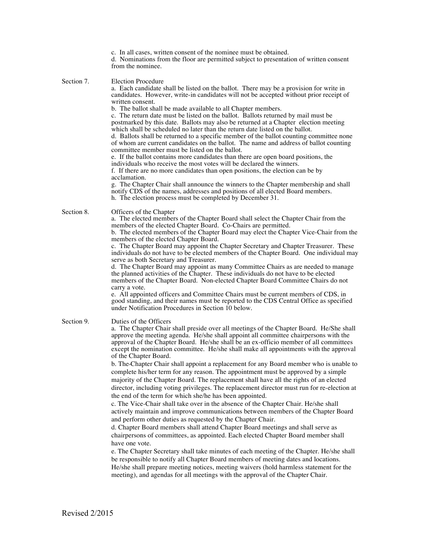| c. In all cases, written consent of the nominee must be obtained.<br>d. Nominations from the floor are permitted subject to presentation of written consent<br>from the nominee.                                                                                                                                                                                                                                                                                                                                                                                                                                                                                                                                                                                                                                                                                                                                                                                                                                                                                                                                                                                                                                                                                                                                                                                                                                                                                                                                                                                                                                                                             |
|--------------------------------------------------------------------------------------------------------------------------------------------------------------------------------------------------------------------------------------------------------------------------------------------------------------------------------------------------------------------------------------------------------------------------------------------------------------------------------------------------------------------------------------------------------------------------------------------------------------------------------------------------------------------------------------------------------------------------------------------------------------------------------------------------------------------------------------------------------------------------------------------------------------------------------------------------------------------------------------------------------------------------------------------------------------------------------------------------------------------------------------------------------------------------------------------------------------------------------------------------------------------------------------------------------------------------------------------------------------------------------------------------------------------------------------------------------------------------------------------------------------------------------------------------------------------------------------------------------------------------------------------------------------|
| <b>Election Procedure</b><br>a. Each candidate shall be listed on the ballot. There may be a provision for write in<br>candidates. However, write-in candidates will not be accepted without prior receipt of<br>written consent.                                                                                                                                                                                                                                                                                                                                                                                                                                                                                                                                                                                                                                                                                                                                                                                                                                                                                                                                                                                                                                                                                                                                                                                                                                                                                                                                                                                                                            |
| b. The ballot shall be made available to all Chapter members.<br>c. The return date must be listed on the ballot. Ballots returned by mail must be<br>postmarked by this date. Ballots may also be returned at a Chapter election meeting<br>which shall be scheduled no later than the return date listed on the ballot.<br>d. Ballots shall be returned to a specific member of the ballot counting committee none<br>of whom are current candidates on the ballot. The name and address of ballot counting<br>committee member must be listed on the ballot.<br>e. If the ballot contains more candidates than there are open board positions, the<br>individuals who receive the most votes will be declared the winners.<br>f. If there are no more candidates than open positions, the election can be by<br>acclamation.<br>g. The Chapter Chair shall announce the winners to the Chapter membership and shall<br>notify CDS of the names, addresses and positions of all elected Board members.<br>h. The election process must be completed by December 31.                                                                                                                                                                                                                                                                                                                                                                                                                                                                                                                                                                                        |
| Officers of the Chapter<br>a. The elected members of the Chapter Board shall select the Chapter Chair from the<br>members of the elected Chapter Board. Co-Chairs are permitted.<br>b. The elected members of the Chapter Board may elect the Chapter Vice-Chair from the<br>members of the elected Chapter Board.<br>c. The Chapter Board may appoint the Chapter Secretary and Chapter Treasurer. These<br>individuals do not have to be elected members of the Chapter Board. One individual may<br>serve as both Secretary and Treasurer.<br>d. The Chapter Board may appoint as many Committee Chairs as are needed to manage<br>the planned activities of the Chapter. These individuals do not have to be elected<br>members of the Chapter Board. Non-elected Chapter Board Committee Chairs do not<br>carry a vote.<br>e. All appointed officers and Committee Chairs must be current members of CDS, in<br>good standing, and their names must be reported to the CDS Central Office as specified<br>under Notification Procedures in Section 10 below.                                                                                                                                                                                                                                                                                                                                                                                                                                                                                                                                                                                            |
| Duties of the Officers<br>a. The Chapter Chair shall preside over all meetings of the Chapter Board. He/She shall<br>approve the meeting agenda. He/she shall appoint all committee chairpersons with the<br>approval of the Chapter Board. He/she shall be an ex-officio member of all committees<br>except the nomination committee. He/she shall make all appointments with the approval<br>of the Chapter Board.<br>b. The Chapter Chair shall appoint a replacement for any Board member who is unable to<br>complete his/her term for any reason. The appointment must be approved by a simple<br>majority of the Chapter Board. The replacement shall have all the rights of an elected<br>director, including voting privileges. The replacement director must run for re-election at<br>the end of the term for which she/he has been appointed.<br>c. The Vice-Chair shall take over in the absence of the Chapter Chair. He/she shall<br>actively maintain and improve communications between members of the Chapter Board<br>and perform other duties as requested by the Chapter Chair.<br>d. Chapter Board members shall attend Chapter Board meetings and shall serve as<br>chairpersons of committees, as appointed. Each elected Chapter Board member shall<br>have one vote.<br>e. The Chapter Secretary shall take minutes of each meeting of the Chapter. He/she shall<br>be responsible to notify all Chapter Board members of meeting dates and locations.<br>He/she shall prepare meeting notices, meeting waivers (hold harmless statement for the<br>meeting), and agendas for all meetings with the approval of the Chapter Chair. |
|                                                                                                                                                                                                                                                                                                                                                                                                                                                                                                                                                                                                                                                                                                                                                                                                                                                                                                                                                                                                                                                                                                                                                                                                                                                                                                                                                                                                                                                                                                                                                                                                                                                              |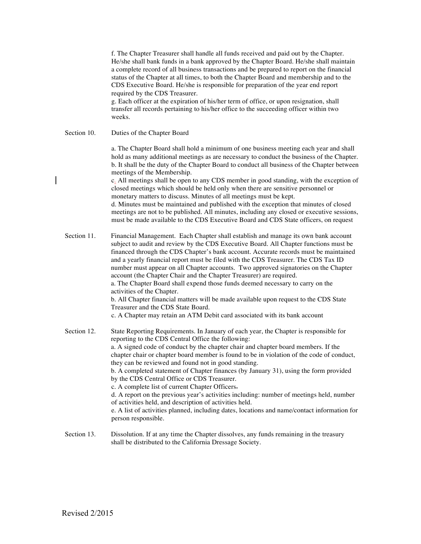f. The Chapter Treasurer shall handle all funds received and paid out by the Chapter. He/she shall bank funds in a bank approved by the Chapter Board. He/she shall maintain a complete record of all business transactions and be prepared to report on the financial status of the Chapter at all times, to both the Chapter Board and membership and to the CDS Executive Board. He/she is responsible for preparation of the year end report required by the CDS Treasurer.

g. Each officer at the expiration of his/her term of office, or upon resignation, shall transfer all records pertaining to his/her office to the succeeding officer within two weeks.

Section 10. Duties of the Chapter Board

a. The Chapter Board shall hold a minimum of one business meeting each year and shall hold as many additional meetings as are necessary to conduct the business of the Chapter. b. It shall be the duty of the Chapter Board to conduct all business of the Chapter between meetings of the Membership.

c. All meetings shall be open to any CDS member in good standing, with the exception of closed meetings which should be held only when there are sensitive personnel or monetary matters to discuss. Minutes of all meetings must be kept.

d. Minutes must be maintained and published with the exception that minutes of closed meetings are not to be published. All minutes, including any closed or executive sessions, must be made available to the CDS Executive Board and CDS State officers, on request

Section 11. Financial Management. Each Chapter shall establish and manage its own bank account subject to audit and review by the CDS Executive Board. All Chapter functions must be financed through the CDS Chapter's bank account. Accurate records must be maintained and a yearly financial report must be filed with the CDS Treasurer. The CDS Tax ID number must appear on all Chapter accounts. Two approved signatories on the Chapter account (the Chapter Chair and the Chapter Treasurer) are required. a. The Chapter Board shall expend those funds deemed necessary to carry on the activities of the Chapter. b. All Chapter financial matters will be made available upon request to the CDS State Treasurer and the CDS State Board. c. A Chapter may retain an ATM Debit card associated with its bank account Section 12. State Reporting Requirements. In January of each year, the Chapter is responsible for reporting to the CDS Central Office the following:

a. A signed code of conduct by the chapter chair and chapter board members. If the chapter chair or chapter board member is found to be in violation of the code of conduct, they can be reviewed and found not in good standing.

b. A completed statement of Chapter finances (by January 31), using the form provided by the CDS Central Office or CDS Treasurer.

c. A complete list of current Chapter Officers.

d. A report on the previous year's activities including: number of meetings held, number of activities held, and description of activities held.

e. A list of activities planned, including dates, locations and name/contact information for person responsible.

Section 13. Dissolution. If at any time the Chapter dissolves, any funds remaining in the treasury shall be distributed to the California Dressage Society.